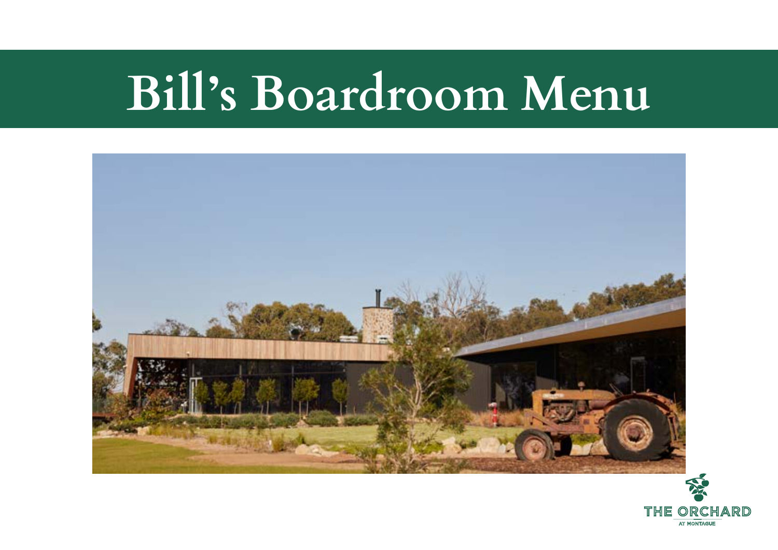# **Bill's Boardroom Menu**



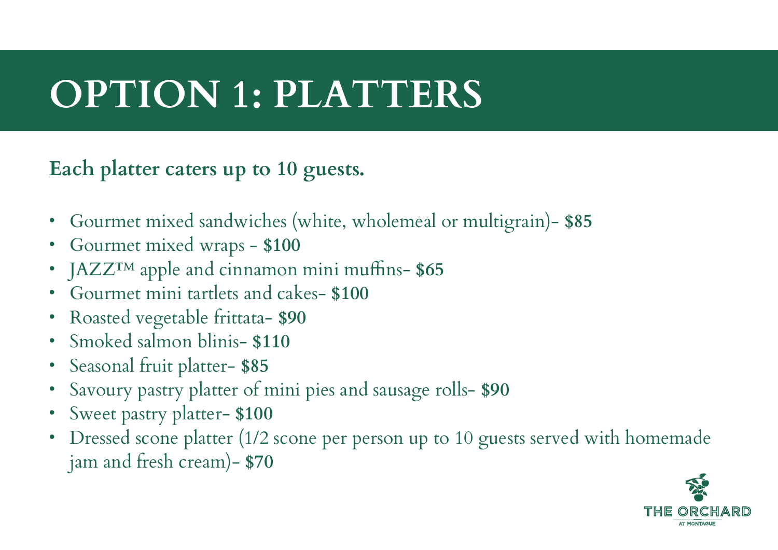## **OPTION 1: PLATTERS**

#### **Each platter caters up to 10 guests.**

- Gourmet mixed sandwiches (white, wholemeal or multigrain)- **\$85**
- Gourmet mixed wraps - **\$100**
- JAZZ™ apple and cinnamon mini muffins- **\$65**
- Gourmet mini tartlets and cakes- **\$100**
- Roasted vegetable frittata- **\$90**
- Smoked salmon blinis- **\$110**
- Seasonal fruit platter- **\$85**
- Savoury pastry platter of mini pies and sausage rolls- **\$90**
- Sweet pastry platter- **\$100**
- Dressed scone platter (1/2 scone per person up to 10 guests served with homemade jam and fresh cream)- **\$70**

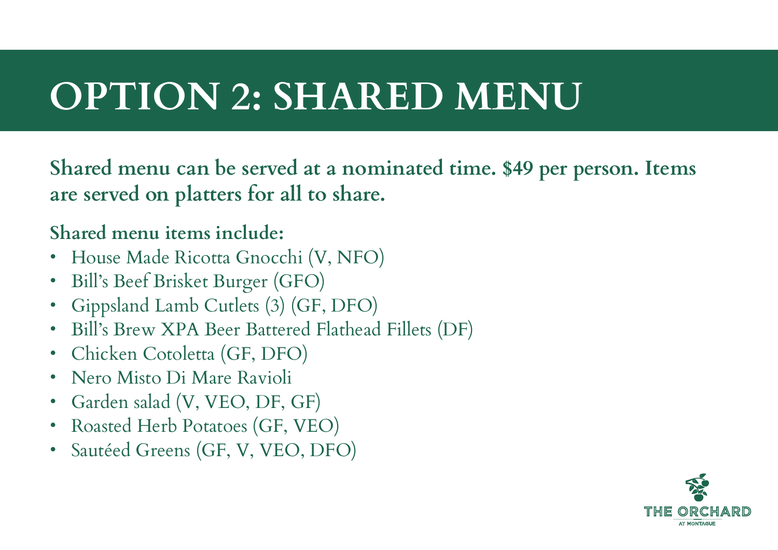## **OPTION 2: SHARED MENU**

**Shared menu can be served at a nominated time. \$49 per person. Items are served on platters for all to share.**

#### **Shared menu items include:**

- House Made Ricotta Gnocchi (V, NFO)
- Bill's Beef Brisket Burger (GFO)
- Gippsland Lamb Cutlets (3) (GF, DFO)
- Bill's Brew XPA Beer Battered Flathead Fillets (DF)
- Chicken Cotoletta (GF, DFO)
- Nero Misto Di Mare Ravioli
- Garden salad (V, VEO, DF, GF)
- Roasted Herb Potatoes (GF, VEO)
- Sautéed Greens (GF, V, VEO, DFO)